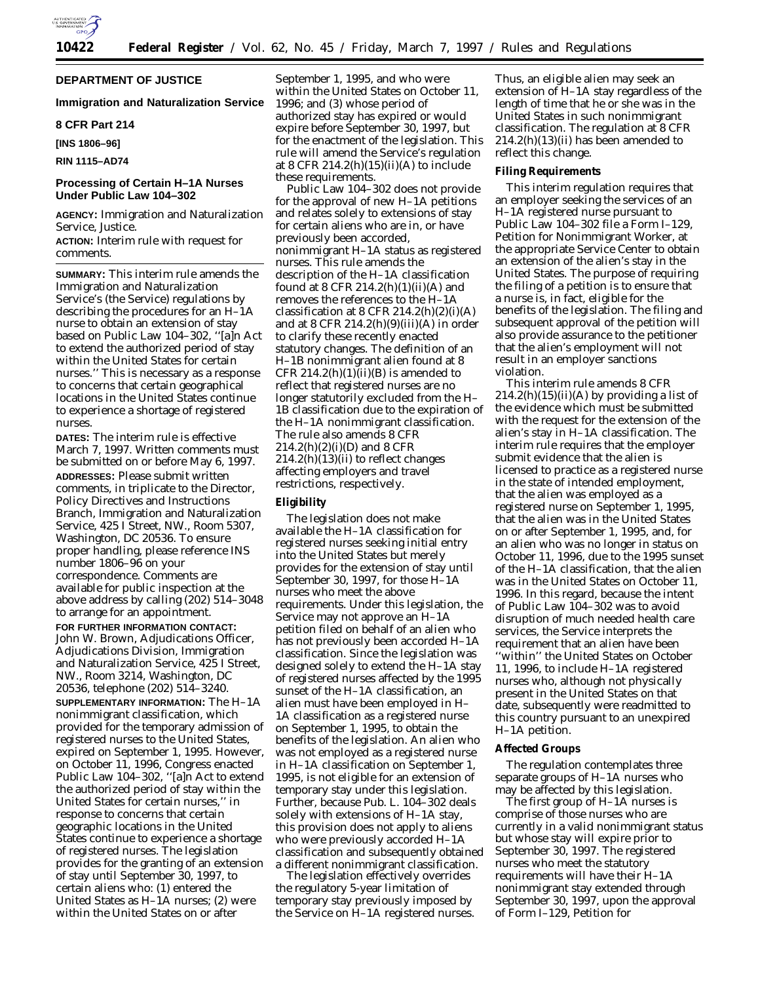

## **DEPARTMENT OF JUSTICE**

### **Immigration and Naturalization Service**

## **8 CFR Part 214**

**[INS 1806–96]**

**RIN 1115–AD74**

# **Processing of Certain H–1A Nurses Under Public Law 104–302**

**AGENCY:** Immigration and Naturalization Service, Justice.

**ACTION:** Interim rule with request for comments.

**SUMMARY:** This interim rule amends the Immigration and Naturalization Service's (the Service) regulations by describing the procedures for an H–1A nurse to obtain an extension of stay based on Public Law 104–302, ''[a]n Act to extend the authorized period of stay within the United States for certain nurses.'' This is necessary as a response to concerns that certain geographical locations in the United States continue to experience a shortage of registered nurses.

**DATES:** The interim rule is effective March 7, 1997. Written comments must be submitted on or before May 6, 1997. **ADDRESSES:** Please submit written comments, in triplicate to the Director, Policy Directives and Instructions Branch, Immigration and Naturalization Service, 425 I Street, NW., Room 5307, Washington, DC 20536. To ensure proper handling, please reference INS number 1806–96 on your correspondence. Comments are available for public inspection at the above address by calling (202) 514–3048 to arrange for an appointment.

**FOR FURTHER INFORMATION CONTACT:** John W. Brown, Adjudications Officer, Adjudications Division, Immigration and Naturalization Service, 425 I Street, NW., Room 3214, Washington, DC 20536, telephone (202) 514–3240.

**SUPPLEMENTARY INFORMATION:** The H–1A nonimmigrant classification, which provided for the temporary admission of registered nurses to the United States, expired on September 1, 1995. However, on October 11, 1996, Congress enacted Public Law 104-302, "[a]n Act to extend the authorized period of stay within the United States for certain nurses,'' in response to concerns that certain geographic locations in the United States continue to experience a shortage of registered nurses. The legislation provides for the granting of an extension of stay until September 30, 1997, to certain aliens who: (1) entered the United States as H–1A nurses; (2) were within the United States on or after

September 1, 1995, and who were within the United States on October 11, 1996; and (3) whose period of authorized stay has expired or would expire before September 30, 1997, but for the enactment of the legislation. This rule will amend the Service's regulation at 8 CFR 214.2(h)(15)(ii)(A) to include these requirements.

Public Law 104–302 does not provide for the approval of new H–1A petitions and relates solely to extensions of stay for certain aliens who are in, or have previously been accorded, nonimmigrant H–1A status as registered nurses. This rule amends the description of the H–1A classification found at 8 CFR 214.2(h)(1)(ii)(A) and removes the references to the H–1A classification at 8 CFR  $214.2(h)(2)(i)(A)$ and at  $8$  CFR  $214.2(h)(9)(iii)(A)$  in order to clarify these recently enacted statutory changes. The definition of an H-1B nonimmigrant alien found at 8 CFR  $214.2(h)(1)(ii)(B)$  is amended to reflect that registered nurses are no longer statutorily excluded from the H– 1B classification due to the expiration of the H–1A nonimmigrant classification. The rule also amends 8 CFR  $214.2(h)(2)(i)(D)$  and 8 CFR 214.2(h)(13)(ii) to reflect changes affecting employers and travel restrictions, respectively.

### **Eligibility**

The legislation does not make available the H–1A classification for registered nurses seeking initial entry into the United States but merely provides for the extension of stay until September 30, 1997, for those H–1A nurses who meet the above requirements. Under this legislation, the Service may not approve an H–1A petition filed on behalf of an alien who has not previously been accorded H–1A classification. Since the legislation was designed solely to extend the H–1A stay of registered nurses affected by the 1995 sunset of the H–1A classification, an alien must have been employed in H– 1A classification as a registered nurse on September 1, 1995, to obtain the benefits of the legislation. An alien who was not employed as a registered nurse in H–1A classification on September 1, 1995, is not eligible for an extension of temporary stay under this legislation. Further, because Pub. L. 104–302 deals solely with extensions of H–1A stay, this provision does not apply to aliens who were previously accorded H–1A classification and subsequently obtained a different nonimmigrant classification.

The legislation effectively overrides the regulatory 5-year limitation of temporary stay previously imposed by the Service on H–1A registered nurses.

Thus, an eligible alien may seek an extension of H–1A stay regardless of the length of time that he or she was in the United States in such nonimmigrant classification. The regulation at 8 CFR  $214.2(h)(13)(ii)$  has been amended to reflect this change.

#### **Filing Requirements**

This interim regulation requires that an employer seeking the services of an H–1A registered nurse pursuant to Public Law 104–302 file a Form I–129, Petition for Nonimmigrant Worker, at the appropriate Service Center to obtain an extension of the alien's stay in the United States. The purpose of requiring the filing of a petition is to ensure that a nurse is, in fact, eligible for the benefits of the legislation. The filing and subsequent approval of the petition will also provide assurance to the petitioner that the alien's employment will not result in an employer sanctions violation.

This interim rule amends 8 CFR  $214.2(h)(15)(ii)(A)$  by providing a list of the evidence which must be submitted with the request for the extension of the alien's stay in H–1A classification. The interim rule requires that the employer submit evidence that the alien is licensed to practice as a registered nurse in the state of intended employment, that the alien was employed as a registered nurse on September 1, 1995, that the alien was in the United States on or after September 1, 1995, and, for an alien who was no longer in status on October 11, 1996, due to the 1995 sunset of the H–1A classification, that the alien was in the United States on October 11, 1996. In this regard, because the intent of Public Law 104–302 was to avoid disruption of much needed health care services, the Service interprets the requirement that an alien have been ''within'' the United States on October 11, 1996, to include H–1A registered nurses who, although not physically present in the United States on that date, subsequently were readmitted to this country pursuant to an unexpired H–1A petition.

### **Affected Groups**

The regulation contemplates three separate groups of H–1A nurses who may be affected by this legislation.

The first group of H–1A nurses is comprise of those nurses who are currently in a valid nonimmigrant status but whose stay will expire prior to September 30, 1997. The registered nurses who meet the statutory requirements will have their H–1A nonimmigrant stay extended through September 30, 1997, upon the approval of Form I–129, Petition for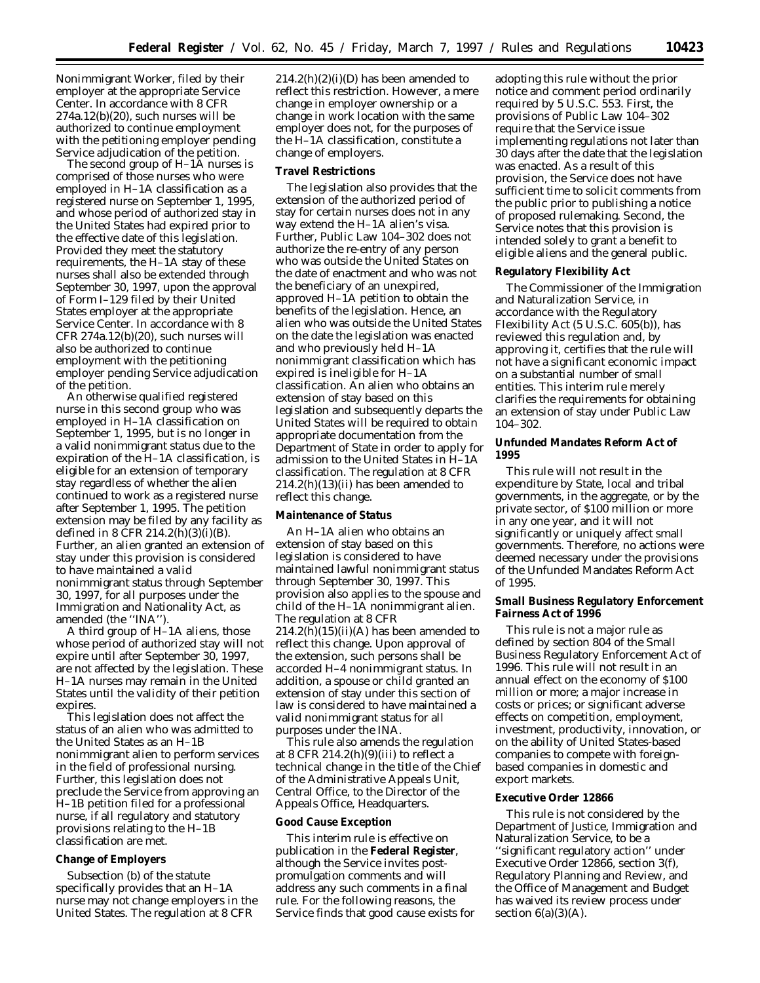Nonimmigrant Worker, filed by their employer at the appropriate Service Center. In accordance with 8 CFR 274a.12(b)(20), such nurses will be authorized to continue employment with the petitioning employer pending Service adjudication of the petition.

The second group of H–1A nurses is comprised of those nurses who were employed in H–1A classification as a registered nurse on September 1, 1995, and whose period of authorized stay in the United States had expired prior to the effective date of this legislation. Provided they meet the statutory requirements, the H–1A stay of these nurses shall also be extended through September 30, 1997, upon the approval of Form I–129 filed by their United States employer at the appropriate Service Center. In accordance with 8 CFR 274a.12(b)(20), such nurses will also be authorized to continue employment with the petitioning employer pending Service adjudication of the petition.

An otherwise qualified registered nurse in this second group who was employed in H–1A classification on September 1, 1995, but is no longer in a valid nonimmigrant status due to the expiration of the H–1A classification, is eligible for an extension of temporary stay regardless of whether the alien continued to work as a registered nurse after September 1, 1995. The petition extension may be filed by any facility as defined in 8 CFR 214.2(h)(3)(i)(B). Further, an alien granted an extension of stay under this provision is considered to have maintained a valid nonimmigrant status through September 30, 1997, for all purposes under the Immigration and Nationality Act, as amended (the ''INA'').

A third group of H–1A aliens, those whose period of authorized stay will not expire until after September 30, 1997, are not affected by the legislation. These H–1A nurses may remain in the United States until the validity of their petition expires.

This legislation does not affect the status of an alien who was admitted to the United States as an H–1B nonimmigrant alien to perform services in the field of professional nursing. Further, this legislation does not preclude the Service from approving an H–1B petition filed for a professional nurse, if all regulatory and statutory provisions relating to the H–1B classification are met.

### **Change of Employers**

Subsection (b) of the statute specifically provides that an H–1A nurse may not change employers in the United States. The regulation at 8 CFR

 $214.2(h)(2)(i)(D)$  has been amended to reflect this restriction. However, a mere change in employer ownership or a change in work location with the same employer does not, for the purposes of the H–1A classification, constitute a change of employers.

### **Travel Restrictions**

The legislation also provides that the extension of the authorized period of stay for certain nurses does not in any way extend the H–1A alien's visa. Further, Public Law 104–302 does not authorize the re-entry of any person who was outside the United States on the date of enactment and who was not the beneficiary of an unexpired, approved H–1A petition to obtain the benefits of the legislation. Hence, an alien who was outside the United States on the date the legislation was enacted and who previously held H–1A nonimmigrant classification which has expired is ineligible for H–1A classification. An alien who obtains an extension of stay based on this legislation and subsequently departs the United States will be required to obtain appropriate documentation from the Department of State in order to apply for admission to the United States in H–1A classification. The regulation at 8 CFR  $214.2(h)(13)(ii)$  has been amended to reflect this change.

#### **Maintenance of Status**

An H–1A alien who obtains an extension of stay based on this legislation is considered to have maintained lawful nonimmigrant status through September 30, 1997. This provision also applies to the spouse and child of the H–1A nonimmigrant alien. The regulation at 8 CFR  $214.2(h)(15)(ii)(A)$  has been amended to reflect this change. Upon approval of the extension, such persons shall be accorded H–4 nonimmigrant status. In addition, a spouse or child granted an extension of stay under this section of law is considered to have maintained a valid nonimmigrant status for all purposes under the INA.

This rule also amends the regulation at 8 CFR  $214.2(h)(9)(iii)$  to reflect a technical change in the title of the Chief of the Administrative Appeals Unit, Central Office, to the Director of the Appeals Office, Headquarters.

#### **Good Cause Exception**

This interim rule is effective on publication in the **Federal Register**, although the Service invites postpromulgation comments and will address any such comments in a final rule. For the following reasons, the Service finds that good cause exists for adopting this rule without the prior notice and comment period ordinarily required by 5 U.S.C. 553. First, the provisions of Public Law 104–302 require that the Service issue implementing regulations not later than 30 days after the date that the legislation was enacted. As a result of this provision, the Service does not have sufficient time to solicit comments from the public prior to publishing a notice of proposed rulemaking. Second, the Service notes that this provision is intended solely to grant a benefit to eligible aliens and the general public.

#### **Regulatory Flexibility Act**

The Commissioner of the Immigration and Naturalization Service, in accordance with the Regulatory Flexibility Act (5 U.S.C. 605(b)), has reviewed this regulation and, by approving it, certifies that the rule will not have a significant economic impact on a substantial number of small entities. This interim rule merely clarifies the requirements for obtaining an extension of stay under Public Law 104–302.

### **Unfunded Mandates Reform Act of 1995**

This rule will not result in the expenditure by State, local and tribal governments, in the aggregate, or by the private sector, of \$100 million or more in any one year, and it will not significantly or uniquely affect small governments. Therefore, no actions were deemed necessary under the provisions of the Unfunded Mandates Reform Act of 1995.

**Small Business Regulatory Enforcement Fairness Act of 1996**

This rule is not a major rule as defined by section 804 of the Small Business Regulatory Enforcement Act of 1996. This rule will not result in an annual effect on the economy of \$100 million or more; a major increase in costs or prices; or significant adverse effects on competition, employment, investment, productivity, innovation, or on the ability of United States-based companies to compete with foreignbased companies in domestic and export markets.

#### **Executive Order 12866**

This rule is not considered by the Department of Justice, Immigration and Naturalization Service, to be a ''significant regulatory action'' under Executive Order 12866, section 3(f), Regulatory Planning and Review, and the Office of Management and Budget has waived its review process under section  $6(a)(3)(A)$ .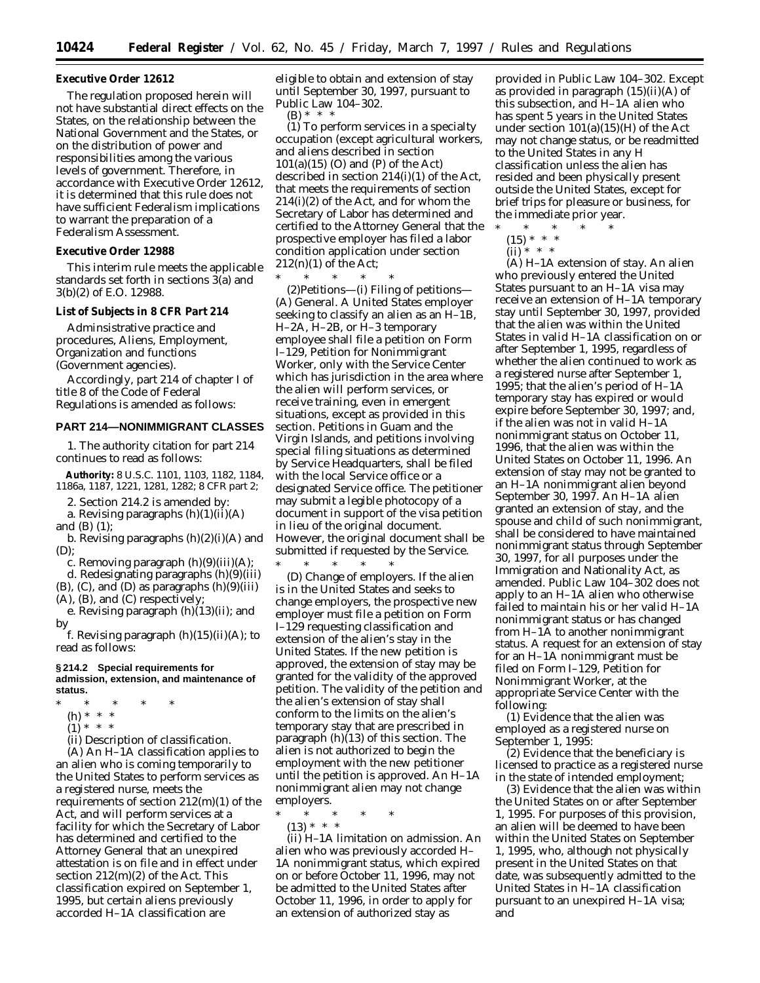### **Executive Order 12612**

The regulation proposed herein will not have substantial direct effects on the States, on the relationship between the National Government and the States, or on the distribution of power and responsibilities among the various levels of government. Therefore, in accordance with Executive Order 12612, it is determined that this rule does not have sufficient Federalism implications to warrant the preparation of a Federalism Assessment.

**Executive Order 12988**

This interim rule meets the applicable standards set forth in sections 3(a) and 3(b)(2) of E.O. 12988.

#### **List of Subjects in 8 CFR Part 214**

Adminsistrative practice and procedures, Aliens, Employment, Organization and functions (Government agencies).

Accordingly, part 214 of chapter I of title 8 of the Code of Federal Regulations is amended as follows:

#### **PART 214—NONIMMIGRANT CLASSES**

1. The authority citation for part 214 continues to read as follows:

**Authority:** 8 U.S.C. 1101, 1103, 1182, 1184, 1186a, 1187, 1221, 1281, 1282; 8 CFR part 2;

2. Section 214.2 is amended by:

a. Revising paragraphs  $(h)(1)(ii)(A)$ 

and (B) (*1*);

b. Revising paragraphs (h)(2)(i)(A) and (D);

c. Removing paragraph  $(h)(9)(iii)(A);$ 

d. Redesignating paragraphs (h)(9)(iii)  $(B)$ ,  $(C)$ , and  $(D)$  as paragraphs  $(h)(9)(iii)$ 

(A), (B), and (C) respectively;

e. Revising paragraph (h)(13)(ii); and by

f. Revising paragraph  $(h)(15)(ii)(A)$ ; to read as follows:

#### **§ 214.2 Special requirements for admission, extension, and maintenance of status.**

- \* \* \* \* \*
	- (h) \* \* \*
	- $(1) * * * *$
	- (ii) *Description of classification.*

(A) An H–1A classification applies to an alien who is coming temporarily to the United States to perform services as a registered nurse, meets the requirements of section 212(m)(1) of the Act, and will perform services at a facility for which the Secretary of Labor has determined and certified to the Attorney General that an unexpired attestation is on file and in effect under section 212(m)(2) of the Act. This classification expired on September 1, 1995, but certain aliens previously accorded H–1A classification are

eligible to obtain and extension of stay until September 30, 1997, pursuant to Public Law 104–302.

 $(B) * * * *$ 

(*1*) To perform services in a specialty occupation (except agricultural workers, and aliens described in section 101(a)(15) (O) and (P) of the Act) described in section 214(i)(1) of the Act, that meets the requirements of section 214(i)(2) of the Act, and for whom the Secretary of Labor has determined and certified to the Attorney General that the prospective employer has filed a labor condition application under section 212(n)(1) of the Act;

\* \* \* \* \*

(2)*Petitions*—(i) *Filing of petitions*— (A) *General.* A United States employer seeking to classify an alien as an H–1B, H–2A, H–2B, or H–3 temporary employee shall file a petition on Form I–129, Petition for Nonimmigrant Worker, only with the Service Center which has jurisdiction in the area where the alien will perform services, or receive training, even in emergent situations, except as provided in this section. Petitions in Guam and the Virgin Islands, and petitions involving special filing situations as determined by Service Headquarters, shall be filed with the local Service office or a designated Service office. The petitioner may submit a legible photocopy of a document in support of the visa petition in lieu of the original document. However, the original document shall be submitted if requested by the Service.

\* \* \* \* \* (D) *Change of employers.* If the alien is in the United States and seeks to change employers, the prospective new employer must file a petition on Form I–129 requesting classification and extension of the alien's stay in the United States. If the new petition is approved, the extension of stay may be granted for the validity of the approved petition. The validity of the petition and the alien's extension of stay shall conform to the limits on the alien's temporary stay that are prescribed in paragraph (h)(13) of this section. The alien is not authorized to begin the employment with the new petitioner until the petition is approved. An H–1A nonimmigrant alien may not change employers.

\* \* \* \* \*

(13) \* \* \*

(ii) *H–1A limitation on admission.* An alien who was previously accorded H– 1A nonimmigrant status, which expired on or before October 11, 1996, may not be admitted to the United States after October 11, 1996, in order to apply for an extension of authorized stay as

provided in Public Law 104–302. Except as provided in paragraph (15)(ii)(A) of this subsection, and H–1A alien who has spent 5 years in the United States under section 101(a)(15)(H) of the Act may not change status, or be readmitted to the United States in any H classification unless the alien has resided and been physically present outside the United States, except for brief trips for pleasure or business, for the immediate prior year.

- \* \* \* \* \*
- $(15) * * * *$ (ii) \* \* \*

(A) *H–1A extension of stay.* An alien who previously entered the United States pursuant to an H–1A visa may receive an extension of H–1A temporary stay until September 30, 1997, provided that the alien was within the United States in valid H–1A classification on or after September 1, 1995, regardless of whether the alien continued to work as a registered nurse after September 1, 1995; that the alien's period of H–1A temporary stay has expired or would expire before September 30, 1997; and, if the alien was not in valid H–1A nonimmigrant status on October 11, 1996, that the alien was within the United States on October 11, 1996. An extension of stay may not be granted to an H–1A nonimmigrant alien beyond September 30, 1997. An H–1A alien granted an extension of stay, and the spouse and child of such nonimmigrant, shall be considered to have maintained nonimmigrant status through September 30, 1997, for all purposes under the Immigration and Nationality Act, as amended. Public Law 104–302 does not apply to an H–1A alien who otherwise failed to maintain his or her valid H–1A nonimmigrant status or has changed from H–1A to another nonimmigrant status. A request for an extension of stay for an H–1A nonimmigrant must be filed on Form I–129, Petition for Nonimmigrant Worker, at the appropriate Service Center with the following:

(*1*) Evidence that the alien was employed as a registered nurse on September 1, 1995:

(*2*) Evidence that the beneficiary is licensed to practice as a registered nurse in the state of intended employment;

(*3*) Evidence that the alien was within the United States on or after September 1, 1995. For purposes of this provision, an alien will be deemed to have been within the United States on September 1, 1995, who, although not physically present in the United States on that date, was subsequently admitted to the United States in H–1A classification pursuant to an unexpired H–1A visa; and